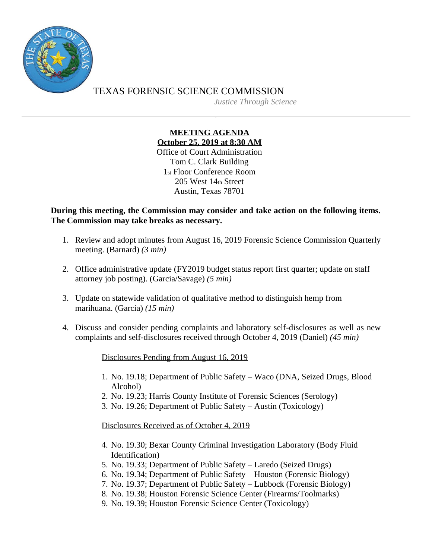

TEXAS FORENSIC SCIENCE COMMISSION *Justice Through Science*

## **MEETING AGENDA October 25, 2019 at 8:30 AM** Office of Court Administration

Tom C. Clark Building 1st Floor Conference Room 205 West 14th Street Austin, Texas 78701

**During this meeting, the Commission may consider and take action on the following items. The Commission may take breaks as necessary.**

- 1. Review and adopt minutes from August 16, 2019 Forensic Science Commission Quarterly meeting. (Barnard) *(3 min)*
- 2. Office administrative update (FY2019 budget status report first quarter; update on staff attorney job posting). (Garcia/Savage) *(5 min)*
- 3. Update on statewide validation of qualitative method to distinguish hemp from marihuana. (Garcia) *(15 min)*
- 4. Discuss and consider pending complaints and laboratory self-disclosures as well as new complaints and self-disclosures received through October 4, 2019 (Daniel) *(45 min)*

Disclosures Pending from August 16, 2019

- 1. No. 19.18; Department of Public Safety Waco (DNA, Seized Drugs, Blood Alcohol)
- 2. No. 19.23; Harris County Institute of Forensic Sciences (Serology)
- 3. No. 19.26; Department of Public Safety Austin (Toxicology)

Disclosures Received as of October 4, 2019

- 4. No. 19.30; Bexar County Criminal Investigation Laboratory (Body Fluid Identification)
- 5. No. 19.33; Department of Public Safety Laredo (Seized Drugs)
- 6. No. 19.34; Department of Public Safety Houston (Forensic Biology)
- 7. No. 19.37; Department of Public Safety Lubbock (Forensic Biology)
- 8. No. 19.38; Houston Forensic Science Center (Firearms/Toolmarks)
- 9. No. 19.39; Houston Forensic Science Center (Toxicology)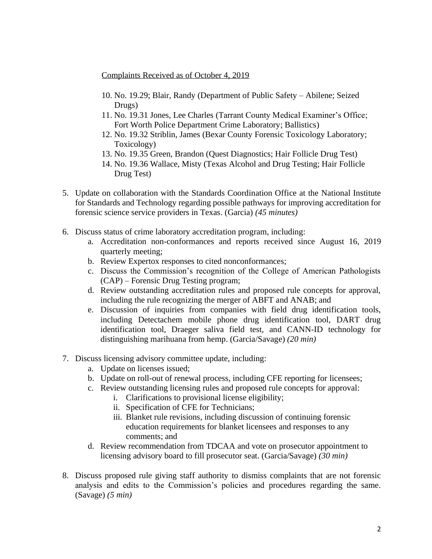Complaints Received as of October 4, 2019

- 10. No. 19.29; Blair, Randy (Department of Public Safety Abilene; Seized Drugs)
- 11. No. 19.31 Jones, Lee Charles (Tarrant County Medical Examiner's Office; Fort Worth Police Department Crime Laboratory; Ballistics)
- 12. No. 19.32 Striblin, James (Bexar County Forensic Toxicology Laboratory; Toxicology)
- 13. No. 19.35 Green, Brandon (Quest Diagnostics; Hair Follicle Drug Test)
- 14. No. 19.36 Wallace, Misty (Texas Alcohol and Drug Testing; Hair Follicle Drug Test)
- 5. Update on collaboration with the Standards Coordination Office at the National Institute for Standards and Technology regarding possible pathways for improving accreditation for forensic science service providers in Texas. (Garcia) *(45 minutes)*
- 6. Discuss status of crime laboratory accreditation program, including:
	- a. Accreditation non-conformances and reports received since August 16, 2019 quarterly meeting;
	- b. Review Expertox responses to cited nonconformances;
	- c. Discuss the Commission's recognition of the College of American Pathologists (CAP) – Forensic Drug Testing program;
	- d. Review outstanding accreditation rules and proposed rule concepts for approval, including the rule recognizing the merger of ABFT and ANAB; and
	- e. Discussion of inquiries from companies with field drug identification tools, including Detectachem mobile phone drug identification tool, DART drug identification tool, Draeger saliva field test, and CANN-ID technology for distinguishing marihuana from hemp. (Garcia/Savage) *(20 min)*
- 7. Discuss licensing advisory committee update, including:
	- a. Update on licenses issued;
	- b. Update on roll-out of renewal process, including CFE reporting for licensees;
	- c. Review outstanding licensing rules and proposed rule concepts for approval:
		- i. Clarifications to provisional license eligibility;
		- ii. Specification of CFE for Technicians;
		- iii. Blanket rule revisions, including discussion of continuing forensic education requirements for blanket licensees and responses to any comments; and
	- d. Review recommendation from TDCAA and vote on prosecutor appointment to licensing advisory board to fill prosecutor seat. (Garcia/Savage) *(30 min)*
- 8. Discuss proposed rule giving staff authority to dismiss complaints that are not forensic analysis and edits to the Commission's policies and procedures regarding the same. (Savage) *(5 min)*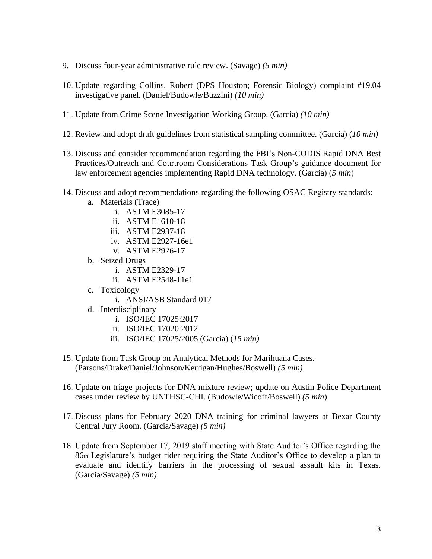- 9. Discuss four-year administrative rule review. (Savage) *(5 min)*
- 10. Update regarding Collins, Robert (DPS Houston; Forensic Biology) complaint #19.04 investigative panel. (Daniel/Budowle/Buzzini) *(10 min)*
- 11. Update from Crime Scene Investigation Working Group. (Garcia) *(10 min)*
- 12. Review and adopt draft guidelines from statistical sampling committee. (Garcia) (*10 min)*
- 13. Discuss and consider recommendation regarding the FBI's Non-CODIS Rapid DNA Best Practices/Outreach and Courtroom Considerations Task Group's guidance document for law enforcement agencies implementing Rapid DNA technology. (Garcia) (*5 min*)
- 14. Discuss and adopt recommendations regarding the following OSAC Registry standards:
	- a. Materials (Trace)
		- i. ASTM E3085-17
		- ii. ASTM E1610-18
		- iii. ASTM E2937-18
		- iv. ASTM E2927-16e1
		- v. ASTM E2926-17
	- b. Seized Drugs
		- i. ASTM E2329-17
		- ii. ASTM E2548-11e1
	- c. Toxicology
		- i. ANSI/ASB Standard 017
	- d. Interdisciplinary
		- i. ISO/IEC 17025:2017
		- ii. ISO/IEC 17020:2012
		- iii. ISO/IEC 17025/2005 (Garcia) (*15 min)*
- 15. Update from Task Group on Analytical Methods for Marihuana Cases. (Parsons/Drake/Daniel/Johnson/Kerrigan/Hughes/Boswell) *(5 min)*
- 16. Update on triage projects for DNA mixture review; update on Austin Police Department cases under review by UNTHSC-CHI. (Budowle/Wicoff/Boswell) *(5 min*)
- 17. Discuss plans for February 2020 DNA training for criminal lawyers at Bexar County Central Jury Room. (Garcia/Savage) *(5 min)*
- 18. Update from September 17, 2019 staff meeting with State Auditor's Office regarding the 86th Legislature's budget rider requiring the State Auditor's Office to develop a plan to evaluate and identify barriers in the processing of sexual assault kits in Texas. (Garcia/Savage) *(5 min)*